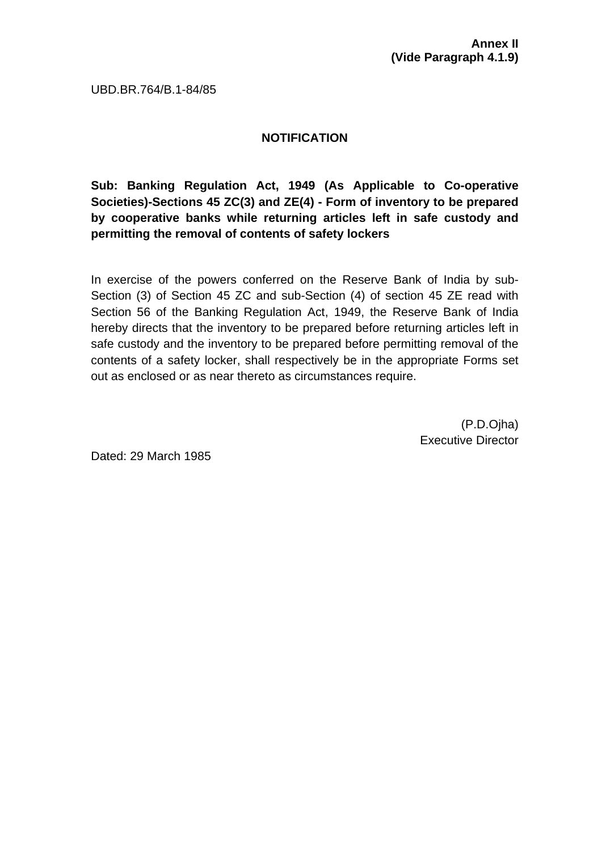UBD.BR.764/B.1-84/85

## **NOTIFICATION**

**Sub: Banking Regulation Act, 1949 (As Applicable to Co-operative Societies)-Sections 45 ZC(3) and ZE(4) - Form of inventory to be prepared by cooperative banks while returning articles left in safe custody and permitting the removal of contents of safety lockers** 

In exercise of the powers conferred on the Reserve Bank of India by sub-Section (3) of Section 45 ZC and sub-Section (4) of section 45 ZE read with Section 56 of the Banking Regulation Act, 1949, the Reserve Bank of India hereby directs that the inventory to be prepared before returning articles left in safe custody and the inventory to be prepared before permitting removal of the contents of a safety locker, shall respectively be in the appropriate Forms set out as enclosed or as near thereto as circumstances require.

> (P.D.Ojha) Executive Director

Dated: 29 March 1985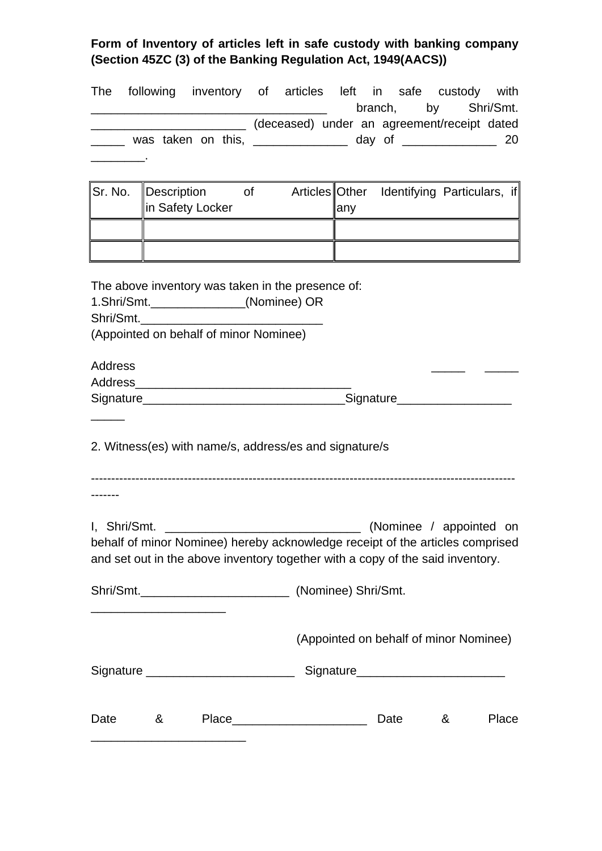## **Form of Inventory of articles left in safe custody with banking company (Section 45ZC (3) of the Banking Regulation Act, 1949(AACS))**

|              |   | The following inventory of articles left in safe custody with<br><u> 2000 - Jan James James James James James James James James James James James James James James James James J</u> |  |      |                                        |   | branch, by Shri/Smt.    |
|--------------|---|---------------------------------------------------------------------------------------------------------------------------------------------------------------------------------------|--|------|----------------------------------------|---|-------------------------|
|              |   | (deceased) under an agreement/receipt dated                                                                                                                                           |  |      |                                        |   |                         |
|              |   | ______ was taken on this, _____________ day of ____________ 20                                                                                                                        |  |      |                                        |   |                         |
|              |   |                                                                                                                                                                                       |  |      |                                        |   |                         |
| Sr. No.      |   | Description of Articles Other Identifying Particulars, if<br>in Safety Locker                                                                                                         |  | lany |                                        |   |                         |
|              |   |                                                                                                                                                                                       |  |      |                                        |   |                         |
|              |   |                                                                                                                                                                                       |  |      |                                        |   |                         |
|              |   | The above inventory was taken in the presence of:<br>1.Shri/Smt.______________(Nominee) OR<br>(Appointed on behalf of minor Nominee)                                                  |  |      |                                        |   |                         |
| Address      |   |                                                                                                                                                                                       |  |      |                                        |   |                         |
|              |   |                                                                                                                                                                                       |  |      |                                        |   |                         |
|              |   |                                                                                                                                                                                       |  |      |                                        |   |                         |
|              |   |                                                                                                                                                                                       |  |      |                                        |   |                         |
|              |   | 2. Witness(es) with name/s, address/es and signature/s                                                                                                                                |  |      |                                        |   |                         |
|              |   |                                                                                                                                                                                       |  |      |                                        |   |                         |
| I. Shri/Smt. |   | behalf of minor Nominee) hereby acknowledge receipt of the articles comprised<br>and set out in the above inventory together with a copy of the said inventory.                       |  |      |                                        |   | (Nominee / appointed on |
|              |   |                                                                                                                                                                                       |  |      |                                        |   |                         |
|              |   |                                                                                                                                                                                       |  |      | (Appointed on behalf of minor Nominee) |   |                         |
|              |   | Signature _________________________                                                                                                                                                   |  |      |                                        |   |                         |
|              |   |                                                                                                                                                                                       |  |      |                                        |   |                         |
| Date         | & | Place_                                                                                                                                                                                |  |      | Date                                   | & | Place                   |

\_\_\_\_\_\_\_\_\_\_\_\_\_\_\_\_\_\_\_\_\_\_\_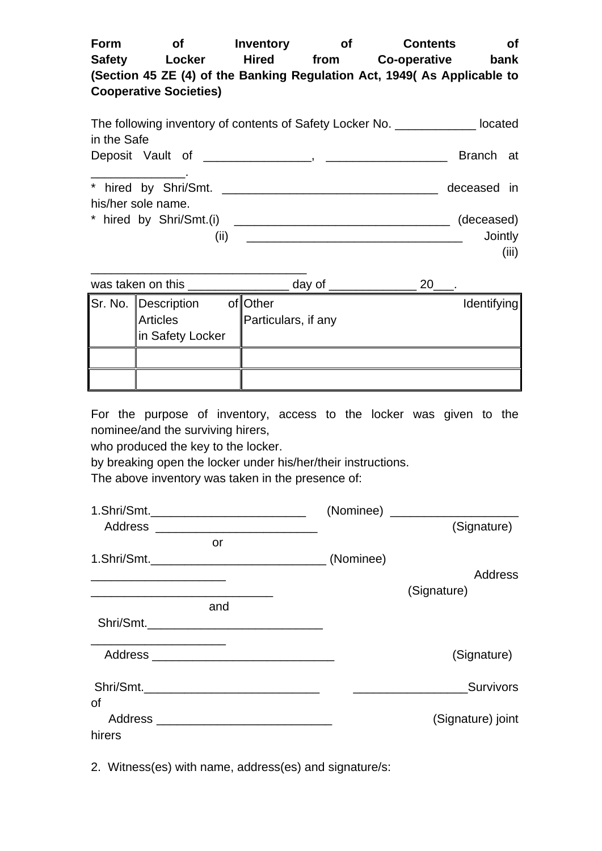| Form          | Οf                            | Inventory    | Οt   | <b>Contents</b>                                                          | <b>of</b> |
|---------------|-------------------------------|--------------|------|--------------------------------------------------------------------------|-----------|
| <b>Safety</b> | Locker                        | <b>Hired</b> | from | Co-operative                                                             | bank      |
|               |                               |              |      | (Section 45 ZE (4) of the Banking Regulation Act, 1949( As Applicable to |           |
|               | <b>Cooperative Societies)</b> |              |      |                                                                          |           |
|               |                               |              |      |                                                                          |           |

| The following inventory of contents of Safety Locker No. _________ | located     |  |
|--------------------------------------------------------------------|-------------|--|
| in the Safe                                                        |             |  |
|                                                                    | Branch at   |  |
|                                                                    |             |  |
|                                                                    | deceased in |  |
| his/her sole name.                                                 |             |  |
| * hired by Shri/Smt.(i)                                            | (deceased)  |  |
| (II)                                                               | Jointly     |  |

(iii)

| was taken on this   | day of              | 20          |
|---------------------|---------------------|-------------|
| Sr. No. Description | of Other            | Identifying |
| <b>Articles</b>     | Particulars, if any |             |
| in Safety Locker    |                     |             |
|                     |                     |             |
|                     |                     |             |

For the purpose of inventory, access to the locker was given to the nominee/and the surviving hirers,

who produced the key to the locker.

by breaking open the locker under his/her/their instructions.

The above inventory was taken in the presence of:

|        |                                                                                                                       | (Nominee) _______________________<br>(Signature) |
|--------|-----------------------------------------------------------------------------------------------------------------------|--------------------------------------------------|
|        | or                                                                                                                    |                                                  |
|        |                                                                                                                       | Address                                          |
|        | and                                                                                                                   | (Signature)                                      |
|        | <u> 1989 - Johann John Stone, markin biskup fan de ferstjer fan de ferstjer fan de ferstjer fan de ferstjer fan d</u> |                                                  |
|        |                                                                                                                       | (Signature)                                      |
| οf     |                                                                                                                       | Survivors                                        |
|        |                                                                                                                       | (Signature) joint                                |
| hirers |                                                                                                                       |                                                  |

2. Witness(es) with name, address(es) and signature/s: